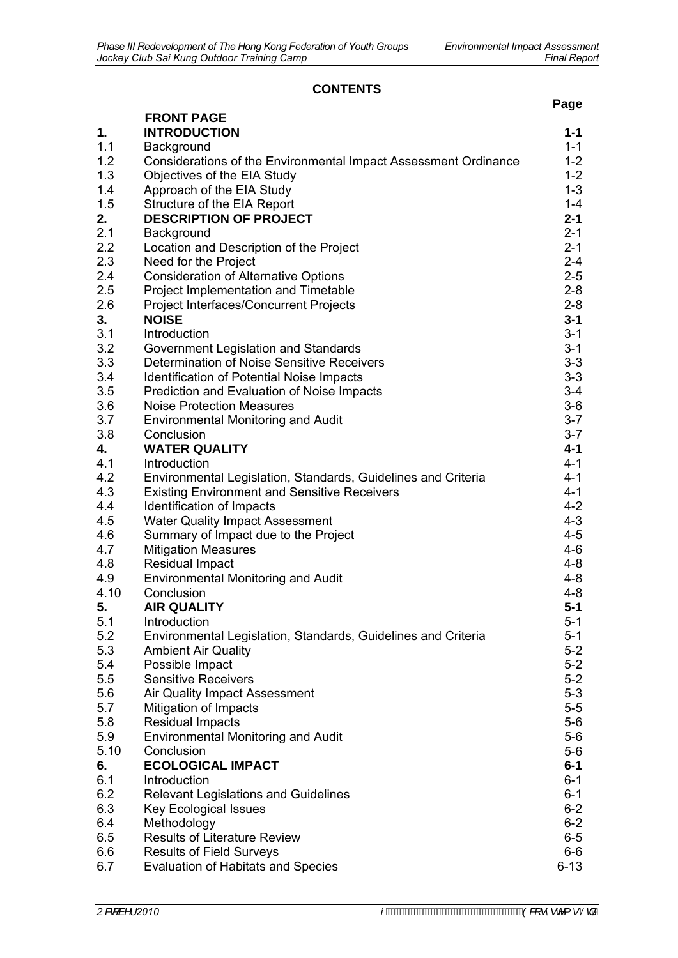## **CONTENTS**

| <b>FRONT PAGE</b><br>1.<br><b>INTRODUCTION</b>                                     | $1 - 1$<br>$1 - 1$ |
|------------------------------------------------------------------------------------|--------------------|
|                                                                                    |                    |
|                                                                                    |                    |
| 1.1<br>Background                                                                  |                    |
| 1.2<br>Considerations of the Environmental Impact Assessment Ordinance             | $1 - 2$            |
| 1.3<br>Objectives of the EIA Study                                                 | $1 - 2$            |
| 1.4<br>Approach of the EIA Study                                                   | $1 - 3$            |
| 1.5<br>Structure of the EIA Report                                                 | $1 - 4$            |
| 2.<br><b>DESCRIPTION OF PROJECT</b>                                                | $2 - 1$            |
| 2.1<br>Background                                                                  | $2 - 1$            |
| 2.2<br>Location and Description of the Project                                     | $2 - 1$            |
| 2.3<br>Need for the Project                                                        | $2 - 4$            |
| 2.4<br><b>Consideration of Alternative Options</b>                                 | $2 - 5$            |
| 2.5<br>Project Implementation and Timetable                                        | $2 - 8$            |
| 2.6<br><b>Project Interfaces/Concurrent Projects</b>                               | $2 - 8$            |
| 3.<br><b>NOISE</b>                                                                 | $3 - 1$            |
| 3.1<br>Introduction                                                                | $3 - 1$            |
| 3.2<br>Government Legislation and Standards                                        | $3 - 1$            |
| 3.3<br>Determination of Noise Sensitive Receivers                                  | $3 - 3$            |
| 3.4<br><b>Identification of Potential Noise Impacts</b>                            | $3 - 3$            |
| 3.5<br>Prediction and Evaluation of Noise Impacts                                  | $3-4$              |
| 3.6<br><b>Noise Protection Measures</b>                                            | $3-6$              |
| 3.7<br><b>Environmental Monitoring and Audit</b>                                   | $3 - 7$            |
| 3.8<br>Conclusion                                                                  | $3 - 7$            |
| 4.<br><b>WATER QUALITY</b>                                                         | 4-1                |
| 4.1<br>Introduction                                                                | $4 - 1$            |
| 4.2<br>Environmental Legislation, Standards, Guidelines and Criteria               | $4 - 1$            |
| 4.3<br><b>Existing Environment and Sensitive Receivers</b>                         | $4 - 1$            |
| 4.4<br>Identification of Impacts                                                   | $4 - 2$            |
| 4.5<br><b>Water Quality Impact Assessment</b>                                      | $4 - 3$            |
| 4.6<br>Summary of Impact due to the Project                                        | $4 - 5$            |
| 4.7<br><b>Mitigation Measures</b>                                                  | $4 - 6$            |
| 4.8<br>Residual Impact                                                             | 4-8                |
| 4.9<br><b>Environmental Monitoring and Audit</b>                                   | 4-8                |
| 4.10<br>Conclusion                                                                 | $4 - 8$            |
| 5.<br><b>AIR QUALITY</b>                                                           | $5 - 1$            |
| 5.1<br>Introduction                                                                | $5-1$              |
| 5.2<br>Environmental Legislation, Standards, Guidelines and Criteria               | $5 - 1$            |
| 5.3<br><b>Ambient Air Quality</b>                                                  | $5-2$              |
| 5.4<br>Possible Impact                                                             | $5-2$              |
| 5.5<br><b>Sensitive Receivers</b>                                                  | $5-2$              |
| 5.6<br>Air Quality Impact Assessment                                               | $5-3$              |
| 5.7<br>Mitigation of Impacts                                                       | $5-5$<br>$5-6$     |
| <b>Residual Impacts</b><br>5.8<br>5.9<br><b>Environmental Monitoring and Audit</b> | $5-6$              |
| 5.10<br>Conclusion                                                                 | $5-6$              |
| <b>ECOLOGICAL IMPACT</b><br>6.                                                     | $6 - 1$            |
| 6.1<br>Introduction                                                                | $6 - 1$            |
| 6.2<br><b>Relevant Legislations and Guidelines</b>                                 | $6 - 1$            |
| 6.3<br><b>Key Ecological Issues</b>                                                | $6 - 2$            |
| 6.4<br>Methodology                                                                 | $6 - 2$            |
| 6.5<br><b>Results of Literature Review</b>                                         | $6-5$              |
| 6.6<br><b>Results of Field Surveys</b>                                             | 6-6                |
| 6.7<br><b>Evaluation of Habitats and Species</b>                                   | $6 - 13$           |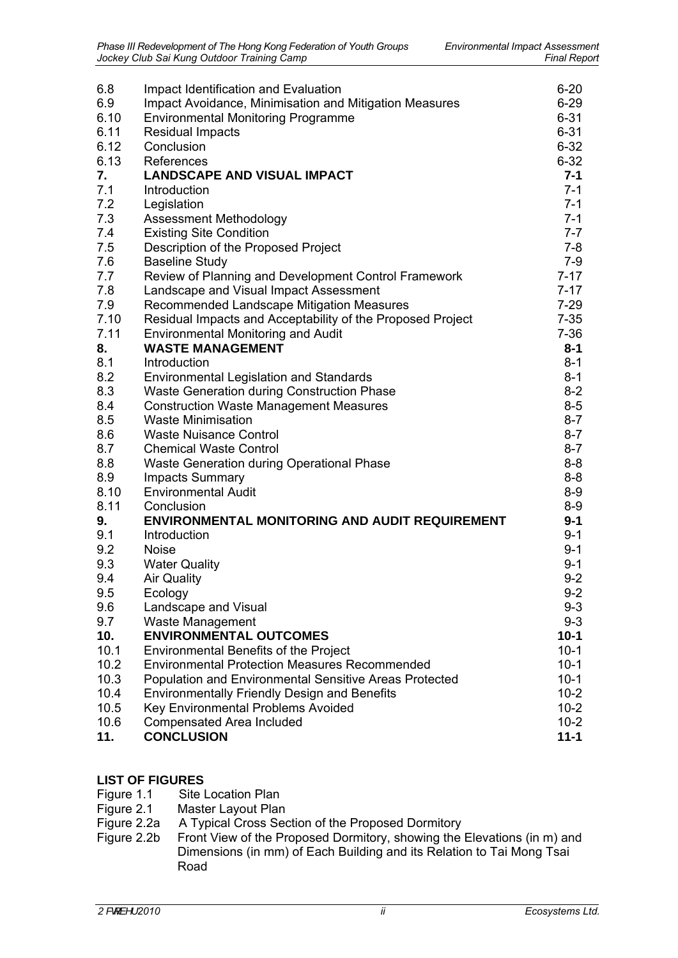| 6.8  | Impact Identification and Evaluation                       | $6 - 20$ |
|------|------------------------------------------------------------|----------|
| 6.9  | Impact Avoidance, Minimisation and Mitigation Measures     | $6 - 29$ |
| 6.10 | <b>Environmental Monitoring Programme</b>                  | $6 - 31$ |
| 6.11 | <b>Residual Impacts</b>                                    | $6 - 31$ |
| 6.12 | Conclusion                                                 | $6 - 32$ |
| 6.13 | References                                                 | $6 - 32$ |
|      |                                                            |          |
| 7.   | <b>LANDSCAPE AND VISUAL IMPACT</b>                         | $7 - 1$  |
| 7.1  | Introduction                                               | $7 - 1$  |
| 7.2  | Legislation                                                | $7 - 1$  |
| 7.3  | Assessment Methodology                                     | $7 - 1$  |
| 7.4  | <b>Existing Site Condition</b>                             | $7 - 7$  |
| 7.5  | Description of the Proposed Project                        | $7 - 8$  |
| 7.6  | <b>Baseline Study</b>                                      | $7-9$    |
| 7.7  | Review of Planning and Development Control Framework       | $7 - 17$ |
| 7.8  | Landscape and Visual Impact Assessment                     | $7 - 17$ |
|      |                                                            |          |
| 7.9  | Recommended Landscape Mitigation Measures                  | $7 - 29$ |
| 7.10 | Residual Impacts and Acceptability of the Proposed Project | $7 - 35$ |
| 7.11 | <b>Environmental Monitoring and Audit</b>                  | $7 - 36$ |
| 8.   | <b>WASTE MANAGEMENT</b>                                    | $8 - 1$  |
| 8.1  | Introduction                                               | $8 - 1$  |
| 8.2  | <b>Environmental Legislation and Standards</b>             | $8 - 1$  |
| 8.3  | Waste Generation during Construction Phase                 | $8 - 2$  |
| 8.4  | <b>Construction Waste Management Measures</b>              | $8-5$    |
| 8.5  | <b>Waste Minimisation</b>                                  | $8 - 7$  |
| 8.6  | <b>Waste Nuisance Control</b>                              | $8 - 7$  |
| 8.7  | <b>Chemical Waste Control</b>                              | $8 - 7$  |
| 8.8  | Waste Generation during Operational Phase                  | $8 - 8$  |
| 8.9  |                                                            | $8 - 8$  |
|      | <b>Impacts Summary</b>                                     |          |
| 8.10 | <b>Environmental Audit</b>                                 | $8 - 9$  |
| 8.11 | Conclusion                                                 | $8-9$    |
| 9.   | <b>ENVIRONMENTAL MONITORING AND AUDIT REQUIREMENT</b>      | $9 - 1$  |
| 9.1  | Introduction                                               | $9 - 1$  |
| 9.2  | <b>Noise</b>                                               | $9 - 1$  |
| 9.3  | <b>Water Quality</b>                                       | $9 - 1$  |
| 9.4  | <b>Air Quality</b>                                         | $9 - 2$  |
| 9.5  | Ecology                                                    | $9 - 2$  |
| 9.6  | Landscape and Visual                                       | $9 - 3$  |
| 9.7  | Waste Management                                           | $9 - 3$  |
| 10.  | <b>ENVIRONMENTAL OUTCOMES</b>                              | $10 - 1$ |
| 10.1 | <b>Environmental Benefits of the Project</b>               | $10-1$   |
| 10.2 | <b>Environmental Protection Measures Recommended</b>       | $10-1$   |
|      |                                                            |          |
| 10.3 | Population and Environmental Sensitive Areas Protected     | $10-1$   |
| 10.4 | <b>Environmentally Friendly Design and Benefits</b>        | $10-2$   |
| 10.5 | Key Environmental Problems Avoided                         | $10-2$   |
| 10.6 | <b>Compensated Area Included</b>                           | $10-2$   |
| 11.  | <b>CONCLUSION</b>                                          | $11 - 1$ |
|      |                                                            |          |

## **LIST OF FIGURES**

- 
- Figure 1.1 Site Location Plan<br>Figure 2.1 Master Layout Plan
- Figure 2.1 Master Layout Plan<br>Figure 2.2a A Typical Cross Sec A Typical Cross Section of the Proposed Dormitory
- Figure 2.2b Front View of the Proposed Dormitory, showing the Elevations (in m) and Dimensions (in mm) of Each Building and its Relation to Tai Mong Tsai Road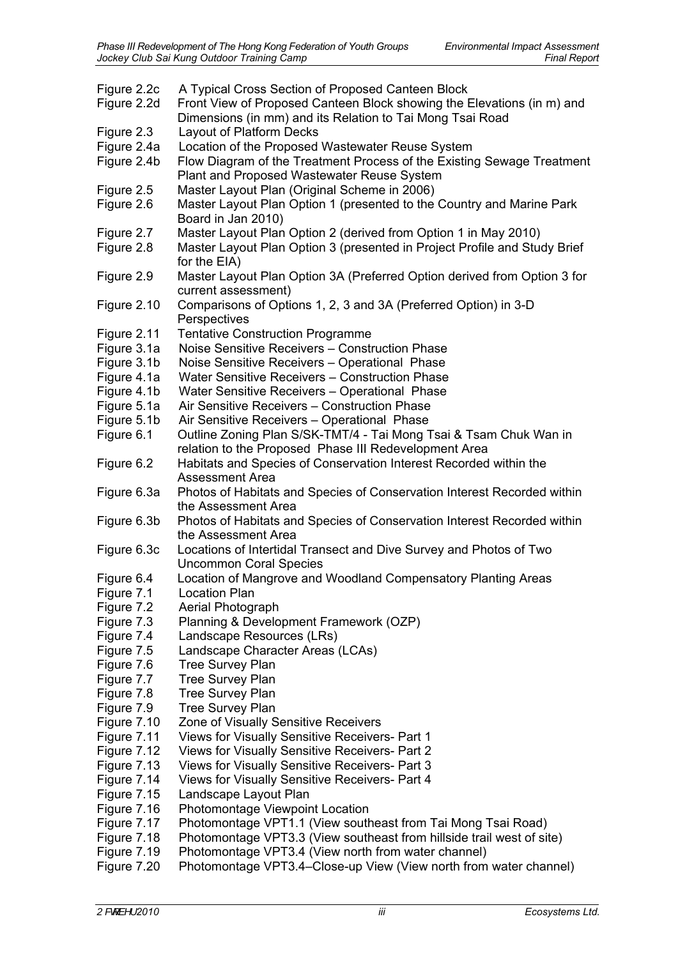| Figure 2.2c<br>Figure 2.2d | A Typical Cross Section of Proposed Canteen Block<br>Front View of Proposed Canteen Block showing the Elevations (in m) and<br>Dimensions (in mm) and its Relation to Tai Mong Tsai Road |
|----------------------------|------------------------------------------------------------------------------------------------------------------------------------------------------------------------------------------|
| Figure 2.3                 | Layout of Platform Decks                                                                                                                                                                 |
| Figure 2.4a                | Location of the Proposed Wastewater Reuse System                                                                                                                                         |
| Figure 2.4b                | Flow Diagram of the Treatment Process of the Existing Sewage Treatment                                                                                                                   |
|                            |                                                                                                                                                                                          |
|                            | Plant and Proposed Wastewater Reuse System                                                                                                                                               |
| Figure 2.5                 | Master Layout Plan (Original Scheme in 2006)                                                                                                                                             |
| Figure 2.6                 | Master Layout Plan Option 1 (presented to the Country and Marine Park                                                                                                                    |
|                            | Board in Jan 2010)                                                                                                                                                                       |
| Figure 2.7                 | Master Layout Plan Option 2 (derived from Option 1 in May 2010)                                                                                                                          |
| Figure 2.8                 | Master Layout Plan Option 3 (presented in Project Profile and Study Brief                                                                                                                |
|                            | for the EIA)                                                                                                                                                                             |
| Figure 2.9                 | Master Layout Plan Option 3A (Preferred Option derived from Option 3 for                                                                                                                 |
|                            | current assessment)                                                                                                                                                                      |
| Figure 2.10                | Comparisons of Options 1, 2, 3 and 3A (Preferred Option) in 3-D                                                                                                                          |
|                            | Perspectives                                                                                                                                                                             |
| Figure 2.11                | <b>Tentative Construction Programme</b>                                                                                                                                                  |
| Figure 3.1a                | Noise Sensitive Receivers - Construction Phase                                                                                                                                           |
| Figure 3.1b                | Noise Sensitive Receivers - Operational Phase                                                                                                                                            |
| Figure 4.1a                | Water Sensitive Receivers - Construction Phase                                                                                                                                           |
| Figure 4.1b                | Water Sensitive Receivers - Operational Phase                                                                                                                                            |
|                            | Air Sensitive Receivers - Construction Phase                                                                                                                                             |
| Figure 5.1a                |                                                                                                                                                                                          |
| Figure 5.1b                | Air Sensitive Receivers - Operational Phase                                                                                                                                              |
| Figure 6.1                 | Outline Zoning Plan S/SK-TMT/4 - Tai Mong Tsai & Tsam Chuk Wan in                                                                                                                        |
|                            | relation to the Proposed Phase III Redevelopment Area                                                                                                                                    |
| Figure 6.2                 | Habitats and Species of Conservation Interest Recorded within the                                                                                                                        |
|                            | <b>Assessment Area</b>                                                                                                                                                                   |
| Figure 6.3a                | Photos of Habitats and Species of Conservation Interest Recorded within                                                                                                                  |
|                            | the Assessment Area                                                                                                                                                                      |
| Figure 6.3b                | Photos of Habitats and Species of Conservation Interest Recorded within                                                                                                                  |
|                            | the Assessment Area                                                                                                                                                                      |
| Figure 6.3c                | Locations of Intertidal Transect and Dive Survey and Photos of Two                                                                                                                       |
|                            | <b>Uncommon Coral Species</b>                                                                                                                                                            |
| Figure 6.4                 | Location of Mangrove and Woodland Compensatory Planting Areas                                                                                                                            |
| Figure 7.1                 | <b>Location Plan</b>                                                                                                                                                                     |
| Figure 7.2                 | Aerial Photograph                                                                                                                                                                        |
| Figure 7.3                 | Planning & Development Framework (OZP)                                                                                                                                                   |
| Figure 7.4                 | Landscape Resources (LRs)                                                                                                                                                                |
| Figure 7.5                 | Landscape Character Areas (LCAs)                                                                                                                                                         |
| Figure 7.6                 | <b>Tree Survey Plan</b>                                                                                                                                                                  |
| Figure 7.7                 | <b>Tree Survey Plan</b>                                                                                                                                                                  |
| Figure 7.8                 | <b>Tree Survey Plan</b>                                                                                                                                                                  |
| Figure 7.9                 | <b>Tree Survey Plan</b>                                                                                                                                                                  |
|                            | Zone of Visually Sensitive Receivers                                                                                                                                                     |
| Figure 7.10                |                                                                                                                                                                                          |
| Figure 7.11                | Views for Visually Sensitive Receivers- Part 1                                                                                                                                           |
| Figure 7.12                | Views for Visually Sensitive Receivers- Part 2                                                                                                                                           |
| Figure 7.13                | Views for Visually Sensitive Receivers- Part 3                                                                                                                                           |
| Figure 7.14                | Views for Visually Sensitive Receivers- Part 4                                                                                                                                           |
| Figure 7.15                | Landscape Layout Plan                                                                                                                                                                    |
| Figure 7.16                | <b>Photomontage Viewpoint Location</b>                                                                                                                                                   |
| Figure 7.17                | Photomontage VPT1.1 (View southeast from Tai Mong Tsai Road)                                                                                                                             |
| Figure 7.18                | Photomontage VPT3.3 (View southeast from hillside trail west of site)                                                                                                                    |
| Figure 7.19                | Photomontage VPT3.4 (View north from water channel)                                                                                                                                      |
| Figure 7.20                | Photomontage VPT3.4-Close-up View (View north from water channel)                                                                                                                        |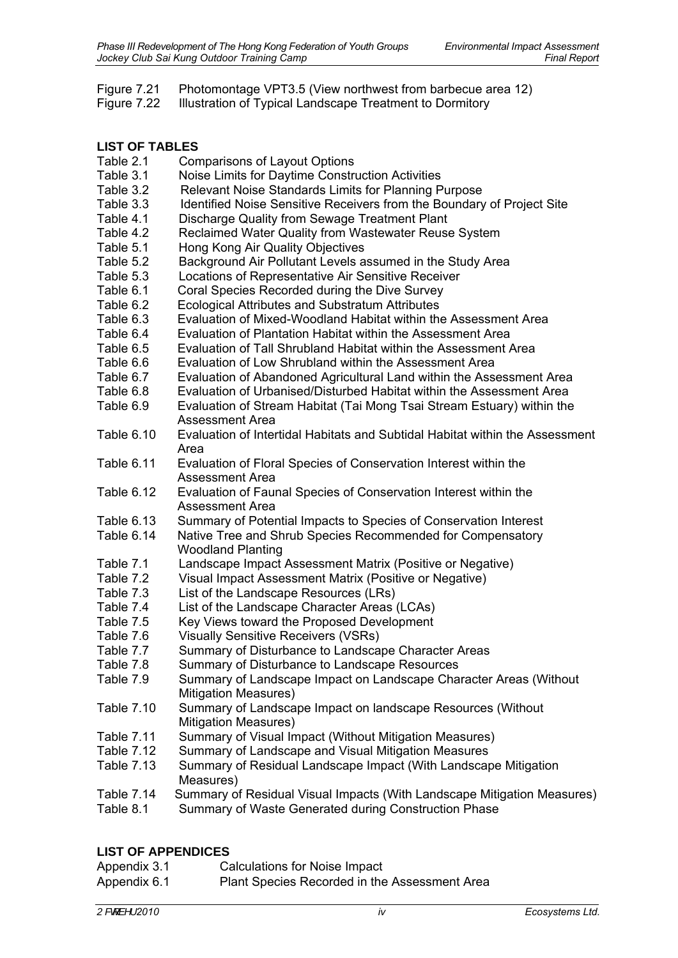|  | Figure 7.21 Photomontage VPT3.5 (View northwest from barbecue area 12) |
|--|------------------------------------------------------------------------|
|--|------------------------------------------------------------------------|

Figure 7.22 Illustration of Typical Landscape Treatment to Dormitory

## **LIST OF TABLES**

| Table 2.1         | <b>Comparisons of Layout Options</b>                                         |
|-------------------|------------------------------------------------------------------------------|
| Table 3.1         | Noise Limits for Daytime Construction Activities                             |
| Table 3.2         | Relevant Noise Standards Limits for Planning Purpose                         |
| Table 3.3         | Identified Noise Sensitive Receivers from the Boundary of Project Site       |
| Table 4.1         | Discharge Quality from Sewage Treatment Plant                                |
| Table 4.2         | Reclaimed Water Quality from Wastewater Reuse System                         |
| Table 5.1         | Hong Kong Air Quality Objectives                                             |
| Table 5.2         | Background Air Pollutant Levels assumed in the Study Area                    |
| Table 5.3         | Locations of Representative Air Sensitive Receiver                           |
| Table 6.1         | Coral Species Recorded during the Dive Survey                                |
| Table 6.2         | <b>Ecological Attributes and Substratum Attributes</b>                       |
| Table 6.3         | Evaluation of Mixed-Woodland Habitat within the Assessment Area              |
| Table 6.4         | Evaluation of Plantation Habitat within the Assessment Area                  |
| Table 6.5         | Evaluation of Tall Shrubland Habitat within the Assessment Area              |
| Table 6.6         | Evaluation of Low Shrubland within the Assessment Area                       |
| Table 6.7         | Evaluation of Abandoned Agricultural Land within the Assessment Area         |
| Table 6.8         | Evaluation of Urbanised/Disturbed Habitat within the Assessment Area         |
| Table 6.9         | Evaluation of Stream Habitat (Tai Mong Tsai Stream Estuary) within the       |
|                   | <b>Assessment Area</b>                                                       |
| Table 6.10        | Evaluation of Intertidal Habitats and Subtidal Habitat within the Assessment |
|                   | Area                                                                         |
| Table 6.11        | Evaluation of Floral Species of Conservation Interest within the             |
|                   | Assessment Area                                                              |
| Table 6.12        | Evaluation of Faunal Species of Conservation Interest within the             |
|                   | <b>Assessment Area</b>                                                       |
| Table 6.13        | Summary of Potential Impacts to Species of Conservation Interest             |
| Table 6.14        | Native Tree and Shrub Species Recommended for Compensatory                   |
|                   | <b>Woodland Planting</b>                                                     |
| Table 7.1         | Landscape Impact Assessment Matrix (Positive or Negative)                    |
| Table 7.2         | Visual Impact Assessment Matrix (Positive or Negative)                       |
| Table 7.3         | List of the Landscape Resources (LRs)                                        |
| Table 7.4         | List of the Landscape Character Areas (LCAs)                                 |
| Table 7.5         | Key Views toward the Proposed Development                                    |
| Table 7.6         | <b>Visually Sensitive Receivers (VSRs)</b>                                   |
| Table 7.7         | Summary of Disturbance to Landscape Character Areas                          |
| Table 7.8         | Summary of Disturbance to Landscape Resources                                |
| Table 7.9         | Summary of Landscape Impact on Landscape Character Areas (Without            |
|                   | <b>Mitigation Measures)</b>                                                  |
| <b>Table 7.10</b> | Summary of Landscape Impact on landscape Resources (Without                  |
|                   | <b>Mitigation Measures)</b>                                                  |
| Table 7.11        | Summary of Visual Impact (Without Mitigation Measures)                       |
| <b>Table 7.12</b> | Summary of Landscape and Visual Mitigation Measures                          |
| <b>Table 7.13</b> | Summary of Residual Landscape Impact (With Landscape Mitigation              |
|                   | Measures)                                                                    |
| Table 7.14        | Summary of Residual Visual Impacts (With Landscape Mitigation Measures)      |
| Table 8.1         | Summary of Waste Generated during Construction Phase                         |
|                   |                                                                              |

## **LIST OF APPENDICES**

- Appendix 3.1 Calculations for Noise Impact
- Appendix 6.1 Plant Species Recorded in the Assessment Area